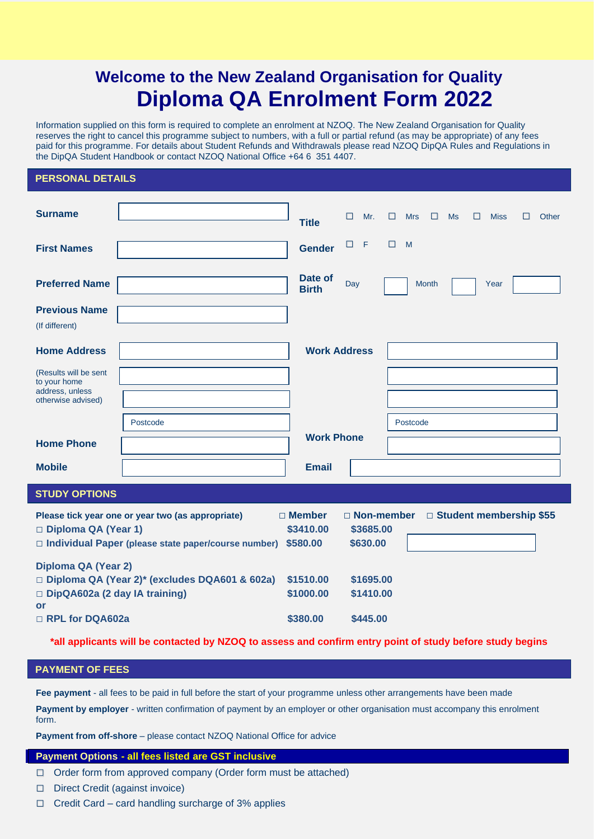# **Welcome to the New Zealand Organisation for Quality Diploma QA Enrolment Form 2022**

Information supplied on this form is required to complete an enrolment at NZOQ. The New Zealand Organisation for Quality reserves the right to cancel this programme subject to numbers, with a full or partial refund (as may be appropriate) of any fees paid for this programme. For details about Student Refunds and Withdrawals please read NZOQ DipQA Rules and Regulations in the DipQA Student Handbook or contact NZOQ National Office +64 6 351 4407.

#### **PERSONAL DETAILS**

| <b>Surname</b>                                                           |                                                                                                                 | <b>Title</b>                           | П<br>Mr.                              | П.<br><b>Mrs</b><br>$\Box$ | П<br>Ms | <b>Miss</b><br>П<br>Other |
|--------------------------------------------------------------------------|-----------------------------------------------------------------------------------------------------------------|----------------------------------------|---------------------------------------|----------------------------|---------|---------------------------|
| <b>First Names</b>                                                       |                                                                                                                 | <b>Gender</b>                          | $\Box$<br>$\mathsf F$                 | □<br>M                     |         |                           |
| <b>Preferred Name</b>                                                    |                                                                                                                 | Date of<br><b>Birth</b>                | Day                                   | <b>Month</b>               |         | Year                      |
| <b>Previous Name</b><br>(If different)                                   |                                                                                                                 |                                        |                                       |                            |         |                           |
| <b>Home Address</b>                                                      |                                                                                                                 | <b>Work Address</b>                    |                                       |                            |         |                           |
| (Results will be sent<br>to your home                                    |                                                                                                                 |                                        |                                       |                            |         |                           |
| address, unless<br>otherwise advised)                                    |                                                                                                                 |                                        |                                       |                            |         |                           |
|                                                                          | Postcode                                                                                                        |                                        |                                       | Postcode                   |         |                           |
| <b>Home Phone</b>                                                        |                                                                                                                 | <b>Work Phone</b>                      |                                       |                            |         |                           |
| <b>Mobile</b>                                                            |                                                                                                                 | <b>Email</b>                           |                                       |                            |         |                           |
| <b>STUDY OPTIONS</b>                                                     |                                                                                                                 |                                        |                                       |                            |         |                           |
| Diploma QA (Year 1)                                                      | Please tick year one or year two (as appropriate)<br>$\Box$ Individual Paper (please state paper/course number) | $\Box$ Member<br>\$3410.00<br>\$580.00 | □ Non-member<br>\$3685.00<br>\$630.00 |                            |         | □ Student membership \$55 |
| <b>Diploma QA (Year 2)</b><br>DipQA602a (2 day IA training)<br><b>or</b> | □ Diploma QA (Year 2)* (excludes DQA601 & 602a)                                                                 | \$1510.00<br>\$1000.00                 | \$1695.00<br>\$1410.00                |                            |         |                           |
| RPL for DQA602a                                                          |                                                                                                                 | \$380.00                               | \$445.00                              |                            |         |                           |

**\*all applicants will be contacted by NZOQ to assess and confirm entry point of study before study begins**

#### **PAYMENT OF FEES**

**Fee payment** - all fees to be paid in full before the start of your programme unless other arrangements have been made

**Payment by employer** - written confirmation of payment by an employer or other organisation must accompany this enrolment form.

**Payment from off-shore** – please contact NZOQ National Office for advice

#### **Payment Options:- all fees listed are GST inclusive**

- **□** Order form from approved company (Order form must be attached)
- **□** Direct Credit (against invoice)
- **□** Credit Card card handling surcharge of 3% applies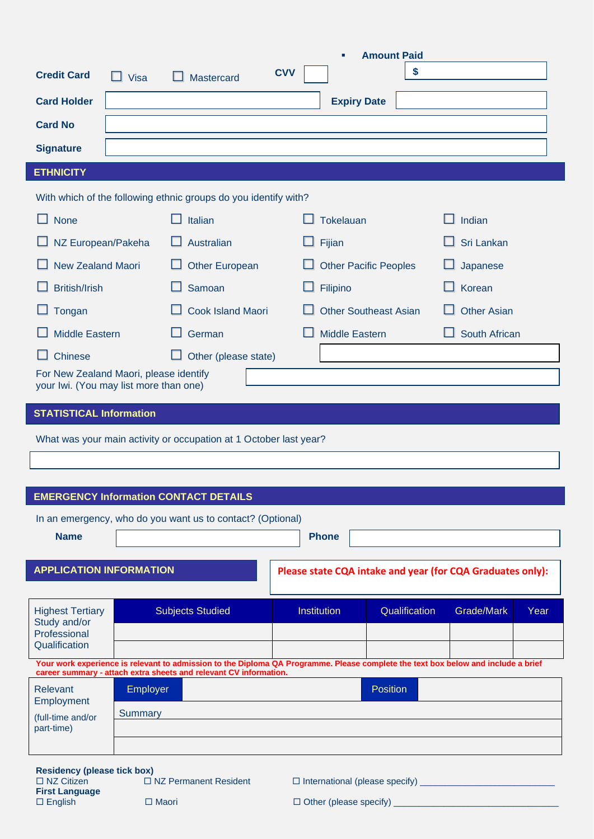|                                                                                                  |         |                                                                                                                                   |            |                              | п                            | <b>Amount Paid</b> |                    |                                                            |      |  |  |
|--------------------------------------------------------------------------------------------------|---------|-----------------------------------------------------------------------------------------------------------------------------------|------------|------------------------------|------------------------------|--------------------|--------------------|------------------------------------------------------------|------|--|--|
| <b>Credit Card</b>                                                                               | Visa    | Mastercard                                                                                                                        | <b>CVV</b> |                              |                              |                    | \$                 |                                                            |      |  |  |
| <b>Card Holder</b>                                                                               |         |                                                                                                                                   |            |                              | <b>Expiry Date</b>           |                    |                    |                                                            |      |  |  |
| <b>Card No</b>                                                                                   |         |                                                                                                                                   |            |                              |                              |                    |                    |                                                            |      |  |  |
| <b>Signature</b>                                                                                 |         |                                                                                                                                   |            |                              |                              |                    |                    |                                                            |      |  |  |
| <b>ETHNICITY</b>                                                                                 |         |                                                                                                                                   |            |                              |                              |                    |                    |                                                            |      |  |  |
|                                                                                                  |         | With which of the following ethnic groups do you identify with?                                                                   |            |                              |                              |                    |                    |                                                            |      |  |  |
| <b>None</b>                                                                                      |         | $\Box$ Italian                                                                                                                    |            | <b>Tokelauan</b>             |                              |                    | Indian             |                                                            |      |  |  |
| NZ European/Pakeha                                                                               |         | Australian                                                                                                                        |            | Fijian                       |                              |                    |                    | Sri Lankan                                                 |      |  |  |
| <b>New Zealand Maori</b>                                                                         |         | <b>Other European</b>                                                                                                             |            |                              | <b>Other Pacific Peoples</b> |                    |                    | Japanese                                                   |      |  |  |
| <b>British/Irish</b>                                                                             |         | Samoan                                                                                                                            |            | Filipino                     |                              |                    | Korean             |                                                            |      |  |  |
| Tongan                                                                                           |         | <b>Cook Island Maori</b>                                                                                                          |            | <b>Other Southeast Asian</b> |                              |                    | <b>Other Asian</b> |                                                            |      |  |  |
| <b>Middle Eastern</b>                                                                            |         | German                                                                                                                            |            |                              | <b>Middle Eastern</b>        |                    |                    | South African                                              |      |  |  |
| Chinese                                                                                          |         | Other (please state)                                                                                                              |            |                              |                              |                    |                    |                                                            |      |  |  |
| For New Zealand Maori, please identify<br>your Iwi. (You may list more than one)                 |         |                                                                                                                                   |            |                              |                              |                    |                    |                                                            |      |  |  |
| <b>STATISTICAL Information</b>                                                                   |         |                                                                                                                                   |            |                              |                              |                    |                    |                                                            |      |  |  |
|                                                                                                  |         |                                                                                                                                   |            |                              |                              |                    |                    |                                                            |      |  |  |
|                                                                                                  |         | What was your main activity or occupation at 1 October last year?                                                                 |            |                              |                              |                    |                    |                                                            |      |  |  |
|                                                                                                  |         |                                                                                                                                   |            |                              |                              |                    |                    |                                                            |      |  |  |
|                                                                                                  |         | <b>EMERGENCY Information CONTACT DETAILS</b>                                                                                      |            |                              |                              |                    |                    |                                                            |      |  |  |
|                                                                                                  |         | In an emergency, who do you want us to contact? (Optional)                                                                        |            |                              |                              |                    |                    |                                                            |      |  |  |
| <b>Name</b>                                                                                      |         |                                                                                                                                   |            |                              | <b>Phone</b>                 |                    |                    |                                                            |      |  |  |
| <b>APPLICATION INFORMATION</b>                                                                   |         |                                                                                                                                   |            |                              |                              |                    |                    | Please state CQA intake and year (for CQA Graduates only): |      |  |  |
|                                                                                                  |         |                                                                                                                                   |            |                              |                              |                    |                    |                                                            |      |  |  |
| <b>Highest Tertiary</b><br>Study and/or                                                          |         | <b>Subjects Studied</b>                                                                                                           |            | Institution                  |                              |                    | Qualification      | Grade/Mark                                                 | Year |  |  |
| Professional<br>Qualification                                                                    |         |                                                                                                                                   |            |                              |                              |                    |                    |                                                            |      |  |  |
|                                                                                                  |         | Your work experience is relevant to admission to the Diploma QA Programme. Please complete the text box below and include a brief |            |                              |                              |                    |                    |                                                            |      |  |  |
| career summary - attach extra sheets and relevant CV information.<br><b>Relevant</b><br>Employer |         |                                                                                                                                   |            |                              |                              | <b>Position</b>    |                    |                                                            |      |  |  |
| Employment<br>(full-time and/or                                                                  | Summary |                                                                                                                                   |            |                              |                              |                    |                    |                                                            |      |  |  |
| part-time)                                                                                       |         |                                                                                                                                   |            |                              |                              |                    |                    |                                                            |      |  |  |
|                                                                                                  |         |                                                                                                                                   |            |                              |                              |                    |                    |                                                            |      |  |  |
| <b>Residency (please tick box)</b>                                                               |         |                                                                                                                                   |            |                              |                              |                    |                    |                                                            |      |  |  |

**First Language**

NZ Citizen NZ Permanent Resident International (please specify) \_\_\_\_\_\_\_\_\_\_\_\_\_\_\_\_\_\_\_\_\_\_\_\_\_\_\_

English Maori Other (please specify) \_\_\_\_\_\_\_\_\_\_\_\_\_\_\_\_\_\_\_\_\_\_\_\_\_\_\_\_\_\_\_\_\_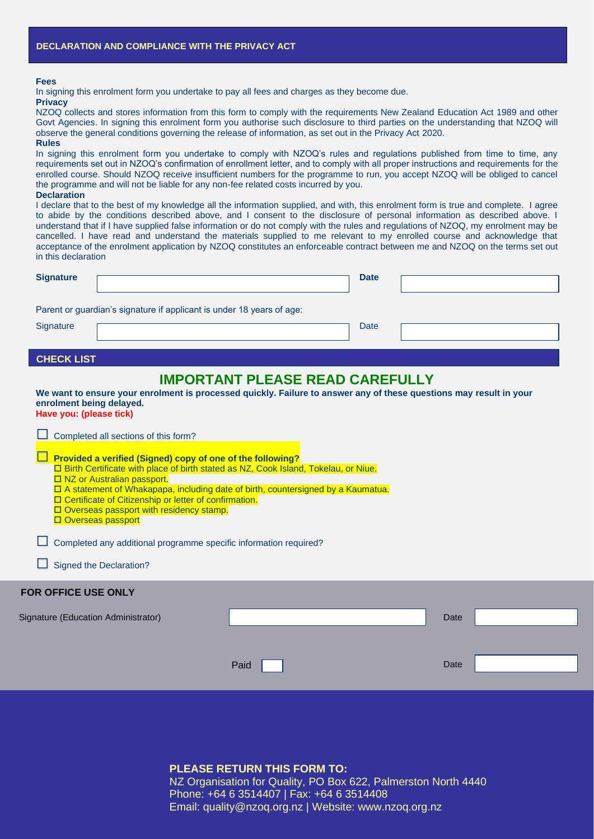#### **Fees**

In signing this enrolment form you undertake to pay all fees and charges as they become due.

#### **Privacy**

NZOQ collects and stores information from this form to comply with the requirements New Zealand Education Act 1989 and other Govt Agencies. In signing this enrolment form you authorise such disclosure to third parties on the understanding that NZOQ will observe the general conditions governing the release of information, as set out in the Privacy Act 2020.

#### **Rules**

In signing this enrolment form you undertake to comply with NZOQ's rules and regulations published from time to time, any requirements set out in NZOQ's confirmation of enrollment letter, and to comply with all proper instructions and requirements for the enrolled course. Should NZOQ receive insufficient numbers for the programme to run, you accept NZOQ will be obliged to cancel the programme and will not be liable for any non-fee related costs incurred by you.

#### **Declaration**

I declare that to the best of my knowledge all the information supplied, and with, this enrolment form is true and complete. I agree to abide by the conditions described above, and I consent to the disclosure of personal information as described above. I understand that if I have supplied false information or do not comply with the rules and regulations of NZOQ, my enrolment may be cancelled. I have read and understand the materials supplied to me relevant to my enrolled course and acknowledge that acceptance of the enrolment application by NZOQ constitutes an enforceable contract between me and NZOQ on the terms set out in this declaration

| <b>Signature</b>  |                                                                       | <b>Date</b> |  |
|-------------------|-----------------------------------------------------------------------|-------------|--|
| Signature         | Parent or guardian's signature if applicant is under 18 years of age: | Date        |  |
| <b>CHECK LIST</b> |                                                                       |             |  |

## **IMPORTANT PLEASE READ CAREFULLY**

**We want to ensure your enrolment is processed quickly. Failure to answer any of these questions may result in your enrolment being delayed. Have you: (please tick)**

| Completed all sections of this form?                                                                                                                                                                                                                                                                                                                                                                        |      |      |  |  |  |  |  |
|-------------------------------------------------------------------------------------------------------------------------------------------------------------------------------------------------------------------------------------------------------------------------------------------------------------------------------------------------------------------------------------------------------------|------|------|--|--|--|--|--|
| Provided a verified (Signed) copy of one of the following?<br>□ Birth Certificate with place of birth stated as NZ, Cook Island, Tokelau, or Niue.<br>□ NZ or Australian passport.<br>□ A statement of Whakapapa, including date of birth, countersigned by a Kaumatua.<br>□ Certificate of Citizenship or letter of confirmation.<br>□ Overseas passport with residency stamp.<br><b>Overseas passport</b> |      |      |  |  |  |  |  |
| Completed any additional programme specific information required?                                                                                                                                                                                                                                                                                                                                           |      |      |  |  |  |  |  |
| $\Box$ Signed the Declaration?                                                                                                                                                                                                                                                                                                                                                                              |      |      |  |  |  |  |  |
| <b>FOR OFFICE USE ONLY</b>                                                                                                                                                                                                                                                                                                                                                                                  |      |      |  |  |  |  |  |
| Signature (Education Administrator)                                                                                                                                                                                                                                                                                                                                                                         |      | Date |  |  |  |  |  |
|                                                                                                                                                                                                                                                                                                                                                                                                             |      |      |  |  |  |  |  |
|                                                                                                                                                                                                                                                                                                                                                                                                             | Paid | Date |  |  |  |  |  |
|                                                                                                                                                                                                                                                                                                                                                                                                             |      |      |  |  |  |  |  |

#### **PLEASE RETURN THIS FORM TO:**

NZ Organisation for Quality, PO Box 622, Palmerston North 4440 Phone: +64 6 3514407 | Fax: +64 6 3514408 Email: quality@nzoq.org.nz | Website: www.nzoq.org.nz